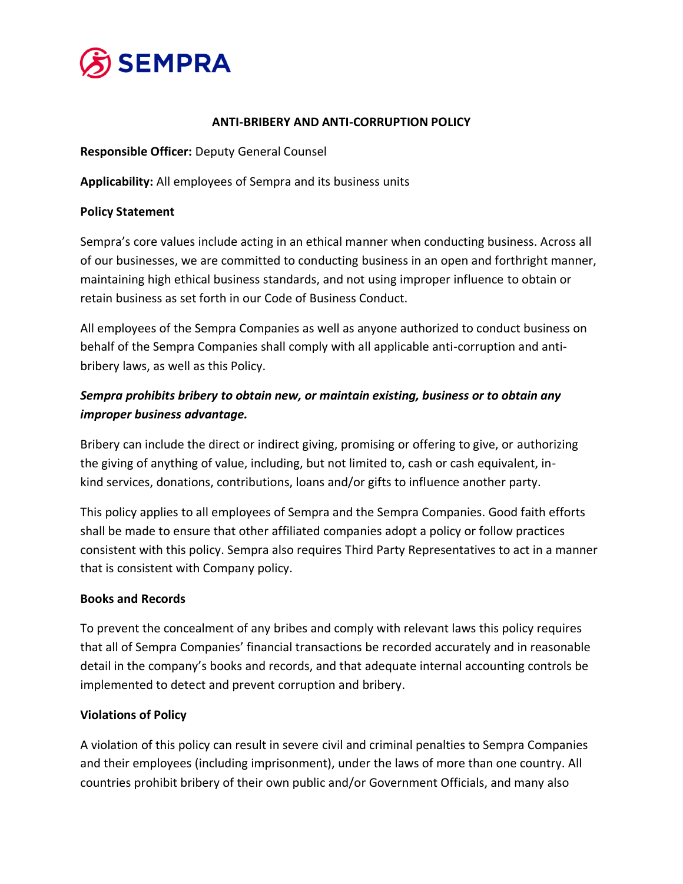

# **ANTI-BRIBERY AND ANTI-CORRUPTION POLICY**

**Responsible Officer:** Deputy General Counsel

**Applicability:** All employees of Sempra and its business units

### **Policy Statement**

Sempra's core values include acting in an ethical manner when conducting business. Across all of our businesses, we are committed to conducting business in an open and forthright manner, maintaining high ethical business standards, and not using improper influence to obtain or retain business as set forth in our Code of Business Conduct.

All employees of the Sempra Companies as well as anyone authorized to conduct business on behalf of the Sempra Companies shall comply with all applicable anti-corruption and antibribery laws, as well as this Policy.

# *Sempra prohibits bribery to obtain new, or maintain existing, business or to obtain any improper business advantage.*

Bribery can include the direct or indirect giving, promising or offering to give, or authorizing the giving of anything of value, including, but not limited to, cash or cash equivalent, inkind services, donations, contributions, loans and/or gifts to influence another party.

This policy applies to all employees of Sempra and the Sempra Companies. Good faith efforts shall be made to ensure that other affiliated companies adopt a policy or follow practices consistent with this policy. Sempra also requires Third Party Representatives to act in a manner that is consistent with Company policy.

# **Books and Records**

To prevent the concealment of any bribes and comply with relevant laws this policy requires that all of Sempra Companies' financial transactions be recorded accurately and in reasonable detail in the company's books and records, and that adequate internal accounting controls be implemented to detect and prevent corruption and bribery.

# **Violations of Policy**

A violation of this policy can result in severe civil and criminal penalties to Sempra Companies and their employees (including imprisonment), under the laws of more than one country. All countries prohibit bribery of their own public and/or Government Officials, and many also